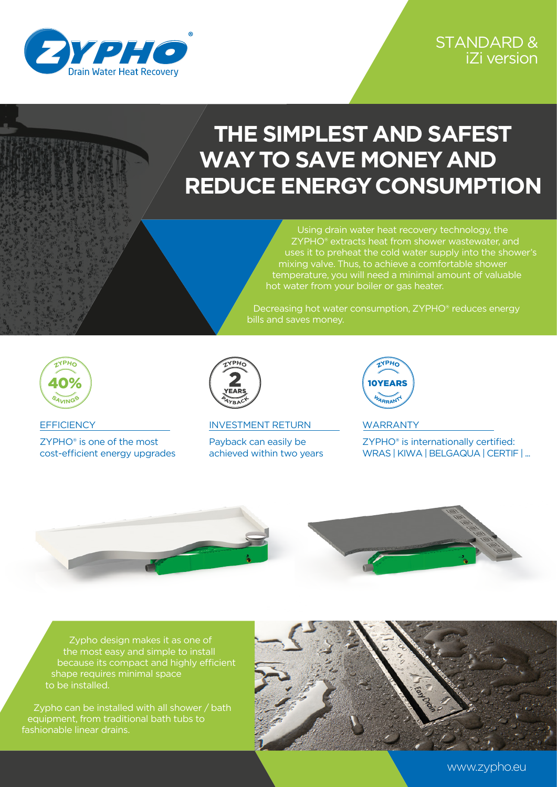

## **THE SIMPLEST AND SAFEST WAY TO SAVE MONEY AND REDUCE ENERGY CONSUMPTION**

Using drain water heat recovery technology, the ZYPHO® extracts heat from shower wastewater, and uses it to preheat the cold water supply into the shower's mixing valve. Thus, to achieve a comfortable shower temperature, you will need a minimal amount of valuable hot water from your boiler or gas heater.

Decreasing hot water consumption, ZYPHO® reduces energy bills and saves money.



**EFFICIENCY** 

ZYPHO® is one of the most cost-efficient energy upgrades



INVESTMENT RETURN

Payback can easily be achieved within two years



WARRANTY

ZYPHO® is internationally certified: WRAS | KIWA | BELGAQUA | CERTIF | ...



Zypho design makes it as one of the most easy and simple to install because its compact and highly efficient shape requires minimal space to be installed.

Zypho can be installed with all shower / bath equipment, from traditional bath tubs to fashionable linear drains.



www.zypho.eu